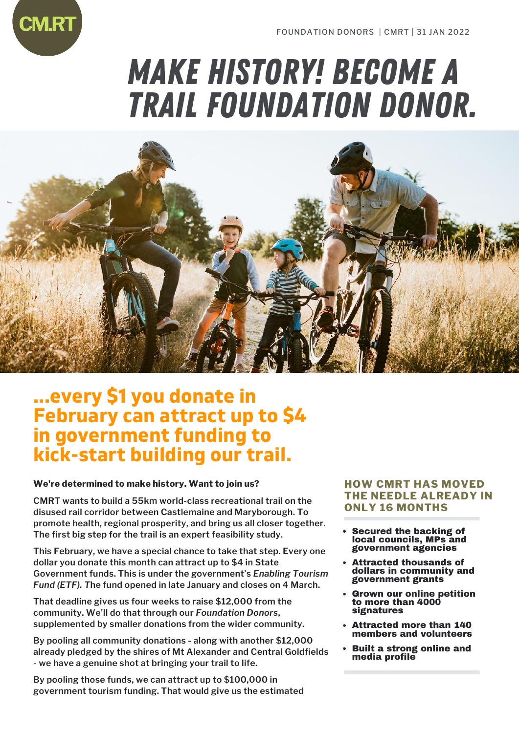# MAKE history! become A TRAIL FOUNDATION DONOR.



## **...every \$1 you donate in February can attract up to \$4 in government funding to kick-start building our trail.**

### **We're determined to make history. Want to join us?**

**CMRT wants to build a 55km world-class recreational trail on the disused rail corridor between Castlemaine and Maryborough. To promote health, regional prosperity, and bring us all closer together. The first big step for the trail is an expert feasibility study.**

**This February, we have a special chance to take that step. Every one dollar you donate this month can attract up to \$4 in State Government funds. This is under the government's** *Enabling Tourism Fund (ETF). T***he fund opened in late January and closes on 4 March.**

**That deadline gives us four weeks to raise \$12,000 from the community. We'll do that through our** *Foundation Donors***, supplemented by smaller donations from the wider community.**

**By pooling all community donations - along with another \$12,000 already pledged by the shires of Mt Alexander and Central Goldfields - we have a genuine shot at bringing your trail to life.**

**By pooling those funds, we can attract up to \$100,000 in government tourism funding. That would give us the estimated**

### **HOW CMRT HAS MOVED THE NEEDLE ALREADY IN ONLY 16 MONTHS**

- Secured the backing of local councils, MPs and government agencies
- Attracted thousands of dollars in community and government grants
- Grown our online petition to more than 4000 signatures
- Attracted more than 140 members and volunteers
- Built a strong online and media profile